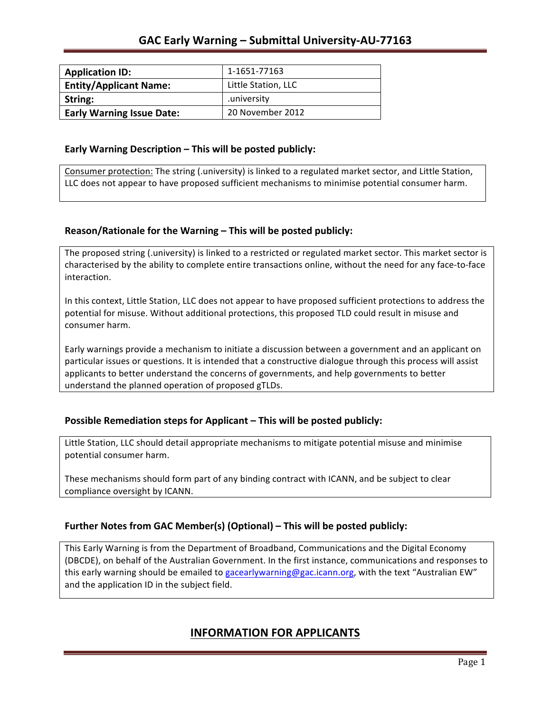| <b>Application ID:</b>           | 1-1651-77163        |
|----------------------------------|---------------------|
| <b>Entity/Applicant Name:</b>    | Little Station, LLC |
| String:                          | university.         |
| <b>Early Warning Issue Date:</b> | 20 November 2012    |

### **Early Warning Description – This will be posted publicly:**

Consumer protection: The string (.university) is linked to a regulated market sector, and Little Station, LLC does not appear to have proposed sufficient mechanisms to minimise potential consumer harm.

### **Reason/Rationale for the Warning – This will be posted publicly:**

The proposed string (.university) is linked to a restricted or regulated market sector. This market sector is characterised by the ability to complete entire transactions online, without the need for any face-to-face interaction.

In this context, Little Station, LLC does not appear to have proposed sufficient protections to address the potential for misuse. Without additional protections, this proposed TLD could result in misuse and consumer harm.

Early warnings provide a mechanism to initiate a discussion between a government and an applicant on particular issues or questions. It is intended that a constructive dialogue through this process will assist applicants to better understand the concerns of governments, and help governments to better understand the planned operation of proposed gTLDs.

### **Possible Remediation steps for Applicant – This will be posted publicly:**

Little Station, LLC should detail appropriate mechanisms to mitigate potential misuse and minimise potential consumer harm.

These mechanisms should form part of any binding contract with ICANN, and be subject to clear compliance oversight by ICANN.

### **Further Notes from GAC Member(s) (Optional)** – This will be posted publicly:

This Early Warning is from the Department of Broadband, Communications and the Digital Economy (DBCDE), on behalf of the Australian Government. In the first instance, communications and responses to this early warning should be emailed to gacearlywarning@gac.icann.org, with the text "Australian EW" and the application ID in the subject field.

## **INFORMATION FOR APPLICANTS**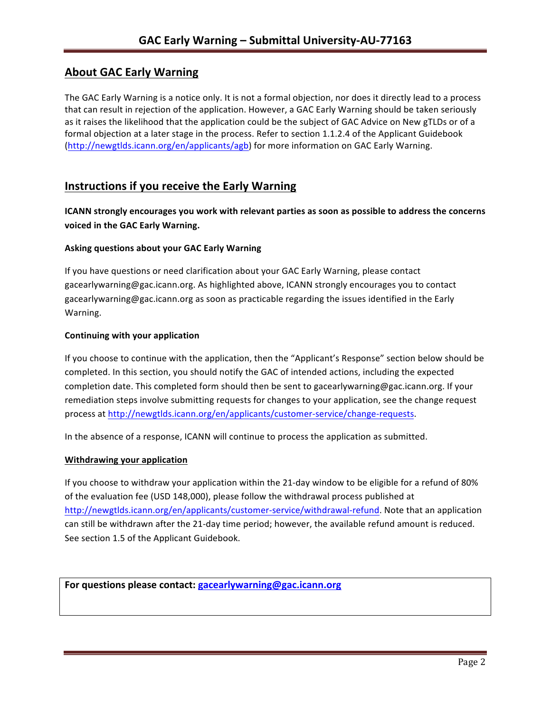# **About GAC Early Warning**

The GAC Early Warning is a notice only. It is not a formal objection, nor does it directly lead to a process that can result in rejection of the application. However, a GAC Early Warning should be taken seriously as it raises the likelihood that the application could be the subject of GAC Advice on New gTLDs or of a formal objection at a later stage in the process. Refer to section 1.1.2.4 of the Applicant Guidebook (http://newgtlds.icann.org/en/applicants/agb) for more information on GAC Early Warning.

# **Instructions if you receive the Early Warning**

**ICANN** strongly encourages you work with relevant parties as soon as possible to address the concerns **voiced in the GAC Early Warning.** 

### **Asking questions about your GAC Early Warning**

If you have questions or need clarification about your GAC Early Warning, please contact gacearlywarning@gac.icann.org. As highlighted above, ICANN strongly encourages you to contact gacearlywarning@gac.icann.org as soon as practicable regarding the issues identified in the Early Warning. 

### **Continuing with your application**

If you choose to continue with the application, then the "Applicant's Response" section below should be completed. In this section, you should notify the GAC of intended actions, including the expected completion date. This completed form should then be sent to gacearlywarning@gac.icann.org. If your remediation steps involve submitting requests for changes to your application, see the change request process at http://newgtlds.icann.org/en/applicants/customer-service/change-requests.

In the absence of a response, ICANN will continue to process the application as submitted.

### **Withdrawing your application**

If you choose to withdraw your application within the 21-day window to be eligible for a refund of 80% of the evaluation fee (USD 148,000), please follow the withdrawal process published at http://newgtlds.icann.org/en/applicants/customer-service/withdrawal-refund. Note that an application can still be withdrawn after the 21-day time period; however, the available refund amount is reduced. See section 1.5 of the Applicant Guidebook.

```
For questions please contact: gacearlywarning@gac.icann.org
```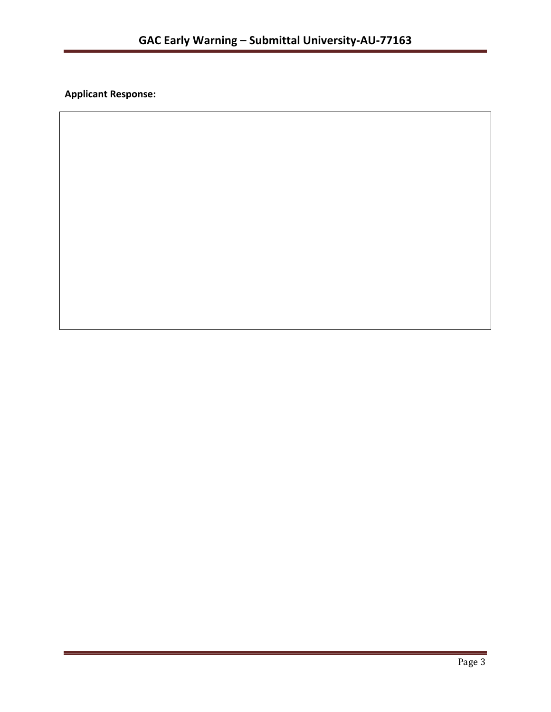**Applicant Response:**